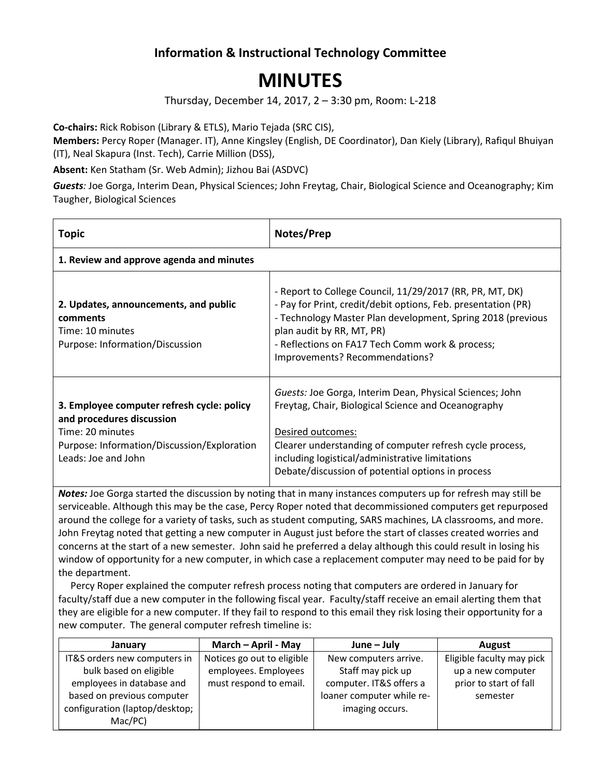## **Information & Instructional Technology Committee**

## **MINUTES**

Thursday, December 14, 2017, 2 – 3:30 pm, Room: L-218

**Co-chairs:** Rick Robison (Library & ETLS), Mario Tejada (SRC CIS),

**Members:** Percy Roper (Manager. IT), Anne Kingsley (English, DE Coordinator), Dan Kiely (Library), Rafiqul Bhuiyan (IT), Neal Skapura (Inst. Tech), Carrie Million (DSS),

**Absent:** Ken Statham (Sr. Web Admin); Jizhou Bai (ASDVC)

*Guests:* Joe Gorga, Interim Dean, Physical Sciences; John Freytag, Chair, Biological Science and Oceanography; Kim Taugher, Biological Sciences

| <b>Topic</b>                                                                                                                                                      | Notes/Prep                                                                                                                                                                                                                                                                                                 |
|-------------------------------------------------------------------------------------------------------------------------------------------------------------------|------------------------------------------------------------------------------------------------------------------------------------------------------------------------------------------------------------------------------------------------------------------------------------------------------------|
| 1. Review and approve agenda and minutes                                                                                                                          |                                                                                                                                                                                                                                                                                                            |
| 2. Updates, announcements, and public<br>comments<br>Time: 10 minutes<br>Purpose: Information/Discussion                                                          | - Report to College Council, 11/29/2017 (RR, PR, MT, DK)<br>- Pay for Print, credit/debit options, Feb. presentation (PR)<br>- Technology Master Plan development, Spring 2018 (previous<br>plan audit by RR, MT, PR)<br>- Reflections on FA17 Tech Comm work & process;<br>Improvements? Recommendations? |
| 3. Employee computer refresh cycle: policy<br>and procedures discussion<br>Time: 20 minutes<br>Purpose: Information/Discussion/Exploration<br>Leads: Joe and John | Guests: Joe Gorga, Interim Dean, Physical Sciences; John<br>Freytag, Chair, Biological Science and Oceanography<br>Desired outcomes:<br>Clearer understanding of computer refresh cycle process,<br>including logistical/administrative limitations<br>Debate/discussion of potential options in process   |

*Notes:* Joe Gorga started the discussion by noting that in many instances computers up for refresh may still be serviceable. Although this may be the case, Percy Roper noted that decommissioned computers get repurposed around the college for a variety of tasks, such as student computing, SARS machines, LA classrooms, and more. John Freytag noted that getting a new computer in August just before the start of classes created worries and concerns at the start of a new semester. John said he preferred a delay although this could result in losing his window of opportunity for a new computer, in which case a replacement computer may need to be paid for by the department.

 Percy Roper explained the computer refresh process noting that computers are ordered in January for faculty/staff due a new computer in the following fiscal year. Faculty/staff receive an email alerting them that they are eligible for a new computer. If they fail to respond to this email they risk losing their opportunity for a new computer. The general computer refresh timeline is:

| January                        | March - April - May        | $June - July$             | <b>August</b>             |
|--------------------------------|----------------------------|---------------------------|---------------------------|
| IT&S orders new computers in   | Notices go out to eligible | New computers arrive.     | Eligible faculty may pick |
| bulk based on eligible         | employees. Employees       | Staff may pick up         | up a new computer         |
| employees in database and      | must respond to email.     | computer. IT&S offers a   | prior to start of fall    |
| based on previous computer     |                            | loaner computer while re- | semester                  |
| configuration (laptop/desktop; |                            | imaging occurs.           |                           |
| Mac/PC)                        |                            |                           |                           |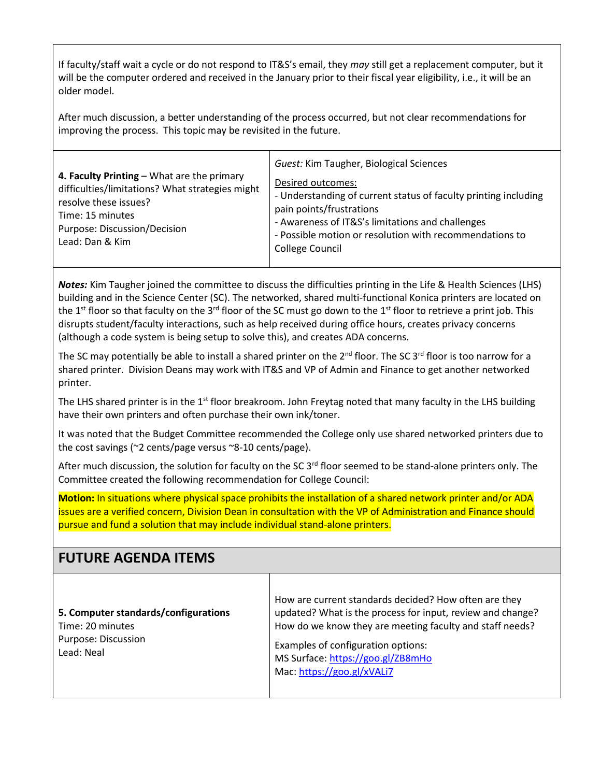If faculty/staff wait a cycle or do not respond to IT&S's email, they *may* still get a replacement computer, but it will be the computer ordered and received in the January prior to their fiscal year eligibility, i.e., it will be an older model.

After much discussion, a better understanding of the process occurred, but not clear recommendations for improving the process. This topic may be revisited in the future.

| 4. Faculty Printing - What are the primary<br>difficulties/limitations? What strategies might<br>resolve these issues?<br>Time: 15 minutes<br>Purpose: Discussion/Decision<br>Lead: Dan & Kim | Guest: Kim Taugher, Biological Sciences<br>Desired outcomes:<br>- Understanding of current status of faculty printing including<br>pain points/frustrations<br>- Awareness of IT&S's limitations and challenges<br>- Possible motion or resolution with recommendations to<br><b>College Council</b> |
|-----------------------------------------------------------------------------------------------------------------------------------------------------------------------------------------------|------------------------------------------------------------------------------------------------------------------------------------------------------------------------------------------------------------------------------------------------------------------------------------------------------|
|-----------------------------------------------------------------------------------------------------------------------------------------------------------------------------------------------|------------------------------------------------------------------------------------------------------------------------------------------------------------------------------------------------------------------------------------------------------------------------------------------------------|

*Notes:* Kim Taugher joined the committee to discuss the difficulties printing in the Life & Health Sciences (LHS) building and in the Science Center (SC). The networked, shared multi-functional Konica printers are located on the 1<sup>st</sup> floor so that faculty on the 3<sup>rd</sup> floor of the SC must go down to the 1<sup>st</sup> floor to retrieve a print job. This disrupts student/faculty interactions, such as help received during office hours, creates privacy concerns (although a code system is being setup to solve this), and creates ADA concerns.

The SC may potentially be able to install a shared printer on the  $2^{nd}$  floor. The SC 3<sup>rd</sup> floor is too narrow for a shared printer. Division Deans may work with IT&S and VP of Admin and Finance to get another networked printer.

The LHS shared printer is in the  $1<sup>st</sup>$  floor breakroom. John Freytag noted that many faculty in the LHS building have their own printers and often purchase their own ink/toner.

It was noted that the Budget Committee recommended the College only use shared networked printers due to the cost savings (~2 cents/page versus ~8-10 cents/page).

After much discussion, the solution for faculty on the SC  $3<sup>rd</sup>$  floor seemed to be stand-alone printers only. The Committee created the following recommendation for College Council:

**Motion:** In situations where physical space prohibits the installation of a shared network printer and/or ADA issues are a verified concern, Division Dean in consultation with the VP of Administration and Finance should pursue and fund a solution that may include individual stand-alone printers.

| <b>FUTURE AGENDA ITEMS</b>                                                                    |                                                                                                                                                                                                                                                                                          |
|-----------------------------------------------------------------------------------------------|------------------------------------------------------------------------------------------------------------------------------------------------------------------------------------------------------------------------------------------------------------------------------------------|
| 5. Computer standards/configurations<br>Time: 20 minutes<br>Purpose: Discussion<br>Lead: Neal | How are current standards decided? How often are they<br>updated? What is the process for input, review and change?<br>How do we know they are meeting faculty and staff needs?<br>Examples of configuration options:<br>MS Surface: https://goo.gl/ZB8mHo<br>Mac: https://goo.gl/xVALi7 |